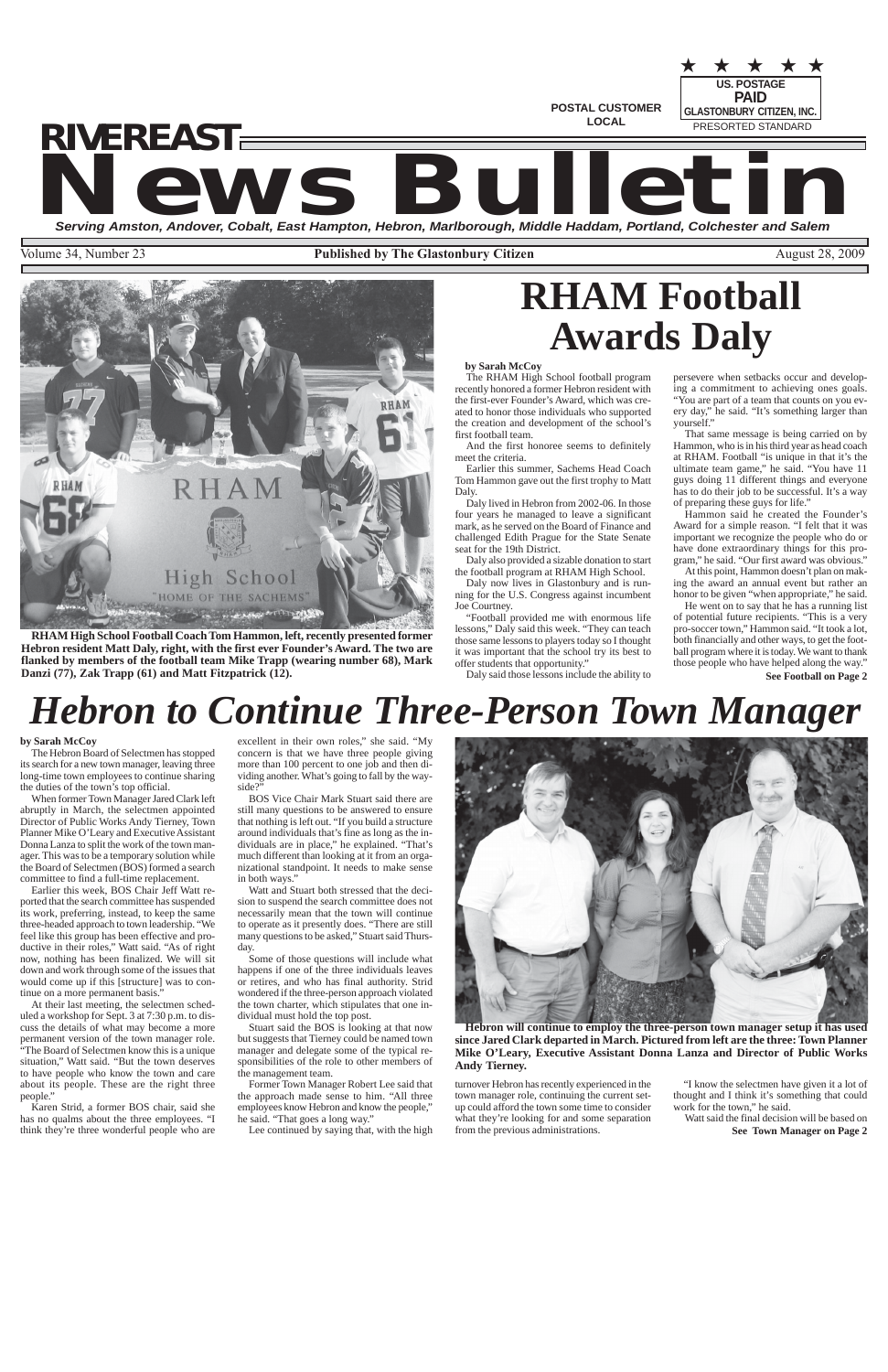**POSTAL CUSTOMER LOCAL**

**US. POSTAGE** PRESORTED STANDARD ★ ★ ★ ★ ★ **PAID GLASTONBURY CITIZEN, INC.**

## **News Bulletin Serving Amston, Andover, Cobalt, East Hampton, Hebron, Marlborough, Middle Haddam, Portland, Colchester and Salem** *RIVEREAST*

Volume 34, Number 23 **Published by The Glastonbury Citizen** August 28, 2009



# *Hebron to Continue Three-Person Town Manager*

**Hebron will continue to employ the three-person town manager setup it has used since Jared Clark departed in March. Pictured from left are the three: Town Planner Mike O'Leary, Executive Assistant Donna Lanza and Director of Public Works Andy Tierney.**

### **by Sarah McCoy**

The Hebron Board of Selectmen has stopped its search for a new town manager, leaving three long-time town employees to continue sharing the duties of the town's top official.

When former Town Manager Jared Clark left abruptly in March, the selectmen appointed Director of Public Works Andy Tierney, Town Planner Mike O'Leary and Executive Assistant Donna Lanza to split the work of the town manager. This was to be a temporary solution while the Board of Selectmen (BOS) formed a search committee to find a full-time replacement.

Earlier this week, BOS Chair Jeff Watt reported that the search committee has suspended its work, preferring, instead, to keep the same three-headed approach to town leadership. "We feel like this group has been effective and productive in their roles," Watt said. "As of right now, nothing has been finalized. We will sit down and work through some of the issues that would come up if this [structure] was to continue on a more permanent basis."

At their last meeting, the selectmen scheduled a workshop for Sept. 3 at 7:30 p.m. to discuss the details of what may become a more permanent version of the town manager role. "The Board of Selectmen know this is a unique situation," Watt said. "But the town deserves to have people who know the town and care about its people. These are the right three people."

Karen Strid, a former BOS chair, said she has no qualms about the three employees. "I think they're three wonderful people who are excellent in their own roles," she said. "My concern is that we have three people giving more than 100 percent to one job and then dividing another. What's going to fall by the wayside?"

> **See Town Manager on Page 2** Watt said the final decision will be based on

BOS Vice Chair Mark Stuart said there are still many questions to be answered to ensure that nothing is left out. "If you build a structure around individuals that's fine as long as the individuals are in place," he explained. "That's much different than looking at it from an organizational standpoint. It needs to make sense in both ways."

Watt and Stuart both stressed that the decision to suspend the search committee does not necessarily mean that the town will continue to operate as it presently does. "There are still many questions to be asked," Stuart said Thursday.

Some of those questions will include what happens if one of the three individuals leaves or retires, and who has final authority. Strid wondered if the three-person approach violated the town charter, which stipulates that one in-



dividual must hold the top post.

Stuart said the BOS is looking at that now but suggests that Tierney could be named town manager and delegate some of the typical responsibilities of the role to other members of the management team.

Former Town Manager Robert Lee said that the approach made sense to him. "All three employees know Hebron and know the people," he said. "That goes a long way."

Lee continued by saying that, with the high

# **RHAM Football Awards Daly**

**RHAM High School Football Coach Tom Hammon, left, recently presented former Hebron resident Matt Daly, right, with the first ever Founder's Award. The two are flanked by members of the football team Mike Trapp (wearing number 68), Mark Danzi (77), Zak Trapp (61) and Matt Fitzpatrick (12).**

> turnover Hebron has recently experienced in the town manager role, continuing the current setup could afford the town some time to consider what they're looking for and some separation from the previous administrations.

"I know the selectmen have given it a lot of thought and I think it's something that could work for the town," he said.

### **by Sarah McCoy**

The RHAM High School football program recently honored a former Hebron resident with the first-ever Founder's Award, which was created to honor those individuals who supported the creation and development of the school's first football team.

And the first honoree seems to definitely meet the criteria.

Earlier this summer, Sachems Head Coach Tom Hammon gave out the first trophy to Matt Daly.

Daly lived in Hebron from 2002-06. In those four years he managed to leave a significant mark, as he served on the Board of Finance and challenged Edith Prague for the State Senate seat for the 19th District.

Daly also provided a sizable donation to start the football program at RHAM High School.

Daly now lives in Glastonbury and is running for the U.S. Congress against incumbent Joe Courtney.

"Football provided me with enormous life lessons," Daly said this week. "They can teach those same lessons to players today so I thought it was important that the school try its best to offer students that opportunity."

Daly said those lessons include the ability to

**See Football on Page 2** He went on to say that he has a running list of potential future recipients. "This is a very pro-soccer town," Hammon said. "It took a lot, both financially and other ways, to get the football program where it is today. We want to thank those people who have helped along the way."

persevere when setbacks occur and developing a commitment to achieving ones goals. "You are part of a team that counts on you every day," he said. "It's something larger than yourself."

That same message is being carried on by Hammon, who is in his third year as head coach at RHAM. Football "is unique in that it's the ultimate team game," he said. "You have 11 guys doing 11 different things and everyone has to do their job to be successful. It's a way of preparing these guys for life."

Hammon said he created the Founder's Award for a simple reason. "I felt that it was important we recognize the people who do or have done extraordinary things for this program," he said. "Our first award was obvious."

At this point, Hammon doesn't plan on making the award an annual event but rather an honor to be given "when appropriate," he said.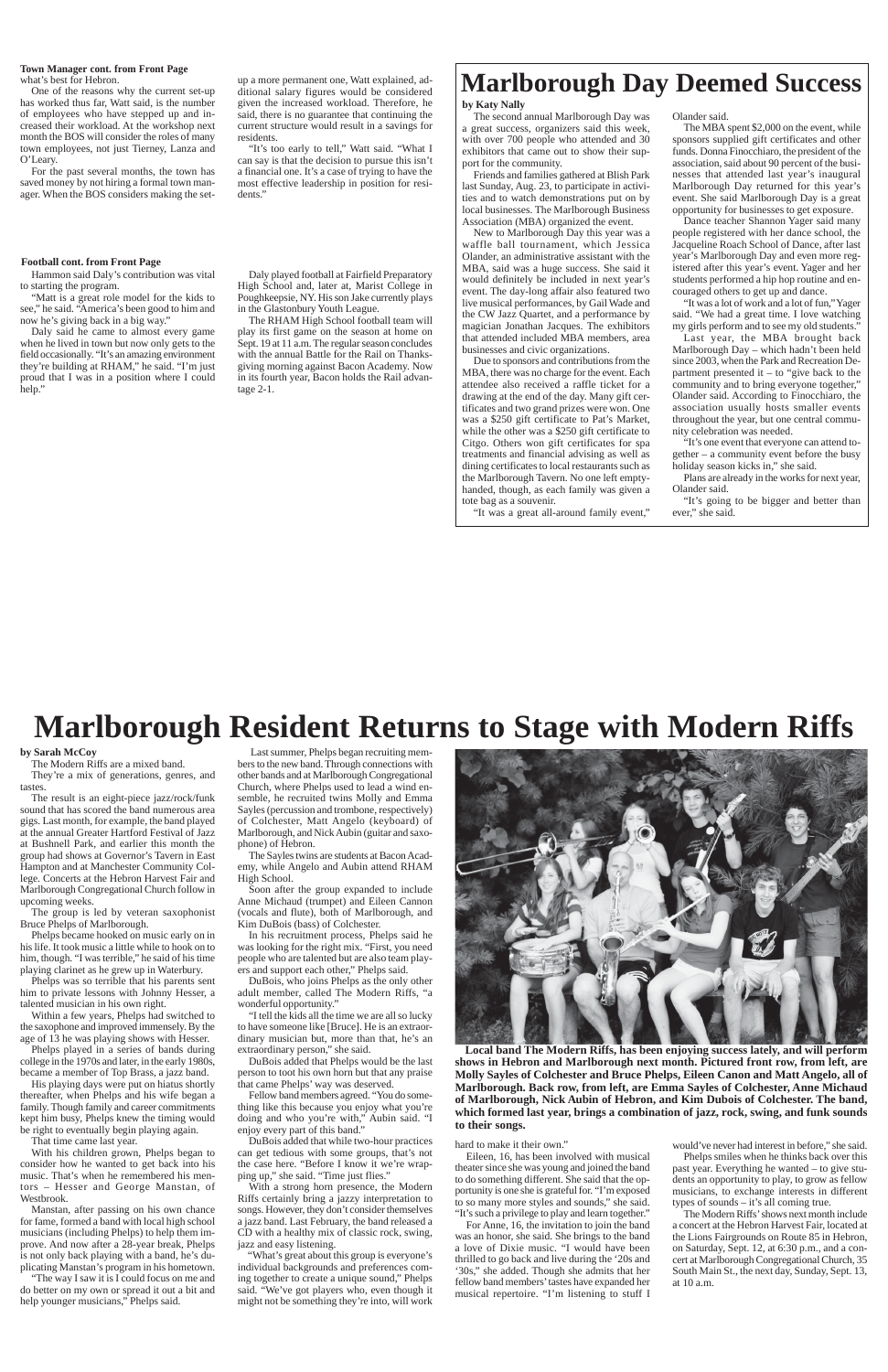One of the reasons why the current set-up has worked thus far, Watt said, is the number of employees who have stepped up and increased their workload. At the workshop next month the BOS will consider the roles of many town employees, not just Tierney, Lanza and O'Leary.

#### what's best for Hebron. **Town Manager cont. from Front Page**

"It's too early to tell," Watt said. "What I can say is that the decision to pursue this isn't a financial one. It's a case of trying to have the most effective leadership in position for residents.'

For the past several months, the town has saved money by not hiring a formal town manager. When the BOS considers making the set-

Daly said he came to almost every game when he lived in town but now only gets to the field occasionally. "It's an amazing environment they're building at RHAM," he said. "I'm just proud that I was in a position where I could help.

up a more permanent one, Watt explained, additional salary figures would be considered given the increased workload. Therefore, he said, there is no guarantee that continuing the current structure would result in a savings for residents.

### **Football cont. from Front Page**

Hammon said Daly's contribution was vital to starting the program.

"Matt is a great role model for the kids to see," he said. "America's been good to him and now he's giving back in a big way."

Daly played football at Fairfield Preparatory High School and, later at, Marist College in Poughkeepsie, NY. His son Jake currently plays in the Glastonbury Youth League.

The RHAM High School football team will play its first game on the season at home on Sept. 19 at 11 a.m. The regular season concludes with the annual Battle for the Rail on Thanksgiving morning against Bacon Academy. Now in its fourth year, Bacon holds the Rail advantage 2-1.

## **Marlborough Resident Returns to Stage with Modern Riffs**

**Local band The Modern Riffs, has been enjoying success lately, and will perform shows in Hebron and Marlborough next month. Pictured front row, from left, are Molly Sayles of Colchester and Bruce Phelps, Eileen Canon and Matt Angelo, all of Marlborough. Back row, from left, are Emma Sayles of Colchester, Anne Michaud of Marlborough, Nick Aubin of Hebron, and Kim Dubois of Colchester. The band, which formed last year, brings a combination of jazz, rock, swing, and funk sounds to their songs.**

### **by Sarah McCoy**

The Modern Riffs are a mixed band. They're a mix of generations, genres, and

tastes. The result is an eight-piece jazz/rock/funk sound that has scored the band numerous area gigs. Last month, for example, the band played at the annual Greater Hartford Festival of Jazz at Bushnell Park, and earlier this month the group had shows at Governor's Tavern in East Hampton and at Manchester Community College. Concerts at the Hebron Harvest Fair and Marlborough Congregational Church follow in upcoming weeks.

The group is led by veteran saxophonist Bruce Phelps of Marlborough.

Phelps became hooked on music early on in his life. It took music a little while to hook on to him, though. "I was terrible," he said of his time playing clarinet as he grew up in Waterbury.

Phelps was so terrible that his parents sent him to private lessons with Johnny Hesser, a talented musician in his own right.

Within a few years, Phelps had switched to the saxophone and improved immensely. By the age of 13 he was playing shows with Hesser.

Phelps played in a series of bands during college in the 1970s and later, in the early 1980s, became a member of Top Brass, a jazz band.

His playing days were put on hiatus shortly thereafter, when Phelps and his wife began a family. Though family and career commitments kept him busy, Phelps knew the timing would be right to eventually begin playing again.

That time came last year.

With his children grown, Phelps began to consider how he wanted to get back into his music. That's when he remembered his mentors – Hesser and George Manstan, of Westbrook.

Manstan, after passing on his own chance for fame, formed a band with local high school musicians (including Phelps) to help them improve. And now after a 28-year break, Phelps is not only back playing with a band, he's duplicating Manstan's program in his hometown.

"The way I saw it is I could focus on me and do better on my own or spread it out a bit and help younger musicians," Phelps said.

 Last summer, Phelps began recruiting members to the new band. Through connections with other bands and at Marlborough Congregational Church, where Phelps used to lead a wind ensemble, he recruited twins Molly and Emma Sayles (percussion and trombone, respectively) of Colchester, Matt Angelo (keyboard) of Marlborough, and Nick Aubin (guitar and saxophone) of Hebron.

The Sayles twins are students at Bacon Academy, while Angelo and Aubin attend RHAM High School.

Soon after the group expanded to include Anne Michaud (trumpet) and Eileen Cannon (vocals and flute), both of Marlborough, and Kim DuBois (bass) of Colchester.

In his recruitment process, Phelps said he was looking for the right mix. "First, you need people who are talented but are also team players and support each other," Phelps said.

DuBois, who joins Phelps as the only other adult member, called The Modern Riffs, "a wonderful opportunity."



"I tell the kids all the time we are all so lucky

to have someone like [Bruce]. He is an extraordinary musician but, more than that, he's an extraordinary person," she said.

DuBois added that Phelps would be the last person to toot his own horn but that any praise that came Phelps' way was deserved.

Fellow band members agreed. "You do something like this because you enjoy what you're doing and who you're with," Aubin said. "I enjoy every part of this band."

DuBois added that while two-hour practices can get tedious with some groups, that's not the case here. "Before I know it we're wrapping up," she said. "Time just flies."

With a strong horn presence, the Modern Riffs certainly bring a jazzy interpretation to songs. However, they don't consider themselves a jazz band. Last February, the band released a CD with a healthy mix of classic rock, swing, jazz and easy listening.

"What's great about this group is everyone's individual backgrounds and preferences coming together to create a unique sound," Phelps said. "We've got players who, even though it might not be something they're into, will work



hard to make it their own."

Eileen, 16, has been involved with musical theater since she was young and joined the band to do something different. She said that the opportunity is one she is grateful for. "I'm exposed to so many more styles and sounds," she said. "It's such a privilege to play and learn together."

For Anne, 16, the invitation to join the band was an honor, she said. She brings to the band a love of Dixie music. "I would have been thrilled to go back and live during the '20s and '30s," she added. Though she admits that her fellow band members' tastes have expanded her musical repertoire. "I'm listening to stuff I

would've never had interest in before," she said.

Phelps smiles when he thinks back over this past year. Everything he wanted – to give students an opportunity to play, to grow as fellow musicians, to exchange interests in different types of sounds – it's all coming true.

The Modern Riffs' shows next month include a concert at the Hebron Harvest Fair, located at the Lions Fairgrounds on Route 85 in Hebron, on Saturday, Sept. 12, at 6:30 p.m., and a concert at Marlborough Congregational Church, 35 South Main St., the next day, Sunday, Sept. 13, at 10 a.m.

### **Marlborough Day Deemed Success**

### **by Katy Nally**

The second annual Marlborough Day was a great success, organizers said this week, with over 700 people who attended and 30 exhibitors that came out to show their support for the community.

Friends and families gathered at Blish Park last Sunday, Aug. 23, to participate in activities and to watch demonstrations put on by local businesses. The Marlborough Business Association (MBA) organized the event.

New to Marlborough Day this year was a waffle ball tournament, which Jessica Olander, an administrative assistant with the MBA, said was a huge success. She said it would definitely be included in next year's event. The day-long affair also featured two live musical performances, by Gail Wade and the CW Jazz Quartet, and a performance by magician Jonathan Jacques. The exhibitors that attended included MBA members, area businesses and civic organizations.

Due to sponsors and contributions from the MBA, there was no charge for the event. Each attendee also received a raffle ticket for a drawing at the end of the day. Many gift certificates and two grand prizes were won. One was a \$250 gift certificate to Pat's Market, while the other was a \$250 gift certificate to Citgo. Others won gift certificates for spa treatments and financial advising as well as dining certificates to local restaurants such as the Marlborough Tavern. No one left emptyhanded, though, as each family was given a tote bag as a souvenir.

"It was a great all-around family event,"

Olander said.

The MBA spent \$2,000 on the event, while sponsors supplied gift certificates and other funds. Donna Finocchiaro, the president of the association, said about 90 percent of the businesses that attended last year's inaugural Marlborough Day returned for this year's event. She said Marlborough Day is a great opportunity for businesses to get exposure.

Dance teacher Shannon Yager said many people registered with her dance school, the Jacqueline Roach School of Dance, after last year's Marlborough Day and even more registered after this year's event. Yager and her students performed a hip hop routine and encouraged others to get up and dance.

"It was a lot of work and a lot of fun," Yager said. "We had a great time. I love watching my girls perform and to see my old students."

Last year, the MBA brought back Marlborough Day – which hadn't been held since 2003, when the Park and Recreation Department presented it – to "give back to the community and to bring everyone together," Olander said. According to Finocchiaro, the association usually hosts smaller events throughout the year, but one central community celebration was needed.

"It's one event that everyone can attend together – a community event before the busy holiday season kicks in," she said.

Plans are already in the works for next year, Olander said.

"It's going to be bigger and better than ever," she said.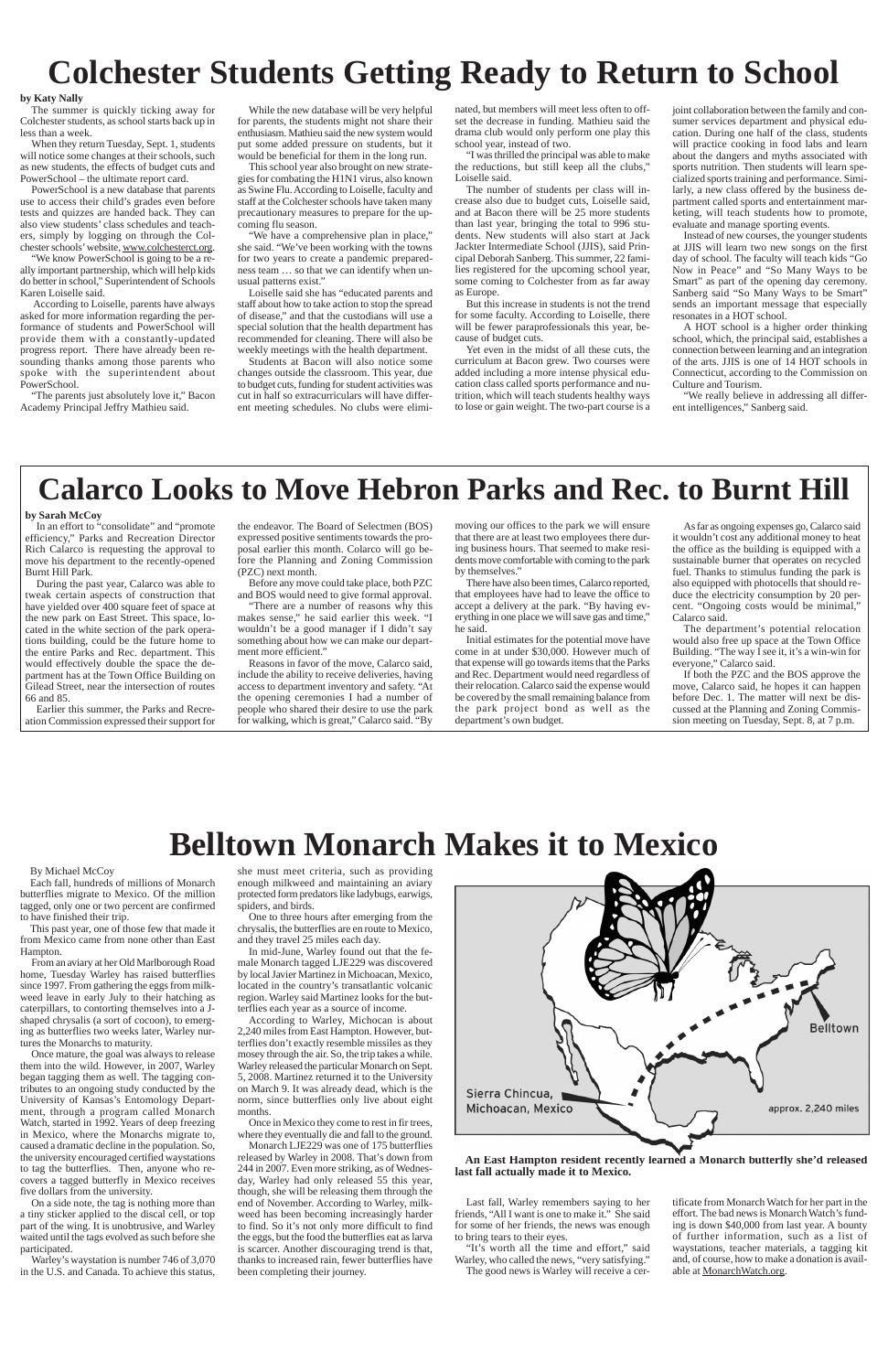## **Colchester Students Getting Ready to Return to School**

### **by Katy Nally**

The summer is quickly ticking away for Colchester students, as school starts back up in less than a week.

When they return Tuesday, Sept. 1, students will notice some changes at their schools, such as new students, the effects of budget cuts and PowerSchool – the ultimate report card.

PowerSchool is a new database that parents use to access their child's grades even before tests and quizzes are handed back. They can also view students' class schedules and teachers, simply by logging on through the Colchester schools' website, www.colchesterct.org.

"We know PowerSchool is going to be a really important partnership, which will help kids do better in school," Superintendent of Schools Karen Loiselle said.

 According to Loiselle, parents have always asked for more information regarding the performance of students and PowerSchool will provide them with a constantly-updated progress report. There have already been resounding thanks among those parents who spoke with the superintendent about PowerSchool.

"The parents just absolutely love it," Bacon Academy Principal Jeffry Mathieu said.

While the new database will be very helpful for parents, the students might not share their enthusiasm. Mathieu said the new system would put some added pressure on students, but it would be beneficial for them in the long run.

This school year also brought on new strategies for combating the H1N1 virus, also known as Swine Flu. According to Loiselle, faculty and staff at the Colchester schools have taken many precautionary measures to prepare for the upcoming flu season.

"We have a comprehensive plan in place," she said. "We've been working with the towns for two years to create a pandemic preparedness team … so that we can identify when unusual patterns exist."

Loiselle said she has "educated parents and staff about how to take action to stop the spread of disease," and that the custodians will use a special solution that the health department has recommended for cleaning. There will also be weekly meetings with the health department.

Students at Bacon will also notice some changes outside the classroom. This year, due to budget cuts, funding for student activities was cut in half so extracurriculars will have different meeting schedules. No clubs were elimi-

nated, but members will meet less often to offset the decrease in funding. Mathieu said the drama club would only perform one play this school year, instead of two.

"I was thrilled the principal was able to make the reductions, but still keep all the clubs," Loiselle said.

The number of students per class will increase also due to budget cuts, Loiselle said, and at Bacon there will be 25 more students than last year, bringing the total to 996 students. New students will also start at Jack Jackter Intermediate School (JJIS), said Principal Deborah Sanberg. This summer, 22 families registered for the upcoming school year, some coming to Colchester from as far away as Europe.

But this increase in students is not the trend for some faculty. According to Loiselle, there will be fewer paraprofessionals this year, because of budget cuts.

Yet even in the midst of all these cuts, the curriculum at Bacon grew. Two courses were added including a more intense physical education class called sports performance and nutrition, which will teach students healthy ways to lose or gain weight. The two-part course is a joint collaboration between the family and consumer services department and physical education. During one half of the class, students will practice cooking in food labs and learn about the dangers and myths associated with sports nutrition. Then students will learn specialized sports training and performance. Similarly, a new class offered by the business department called sports and entertainment marketing, will teach students how to promote, evaluate and manage sporting events.

Instead of new courses, the younger students at JJIS will learn two new songs on the first day of school. The faculty will teach kids "Go Now in Peace" and "So Many Ways to be Smart" as part of the opening day ceremony. Sanberg said "So Many Ways to be Smart" sends an important message that especially resonates in a HOT school.

A HOT school is a higher order thinking school, which, the principal said, establishes a connection between learning and an integration of the arts. JJIS is one of 14 HOT schools in Connecticut, according to the Commission on Culture and Tourism.

"We really believe in addressing all different intelligences," Sanberg said.

## **Calarco Looks to Move Hebron Parks and Rec. to Burnt Hill**

#### **by Sarah McCoy**

In an effort to "consolidate" and "promote efficiency," Parks and Recreation Director Rich Calarco is requesting the approval to move his department to the recently-opened Burnt Hill Park.

During the past year, Calarco was able to tweak certain aspects of construction that have yielded over 400 square feet of space at the new park on East Street. This space, located in the white section of the park operations building, could be the future home to the entire Parks and Rec. department. This would effectively double the space the department has at the Town Office Building on Gilead Street, near the intersection of routes 66 and 85.

Earlier this summer, the Parks and Recreation Commission expressed their support for the endeavor. The Board of Selectmen (BOS) expressed positive sentiments towards the proposal earlier this month. Colarco will go before the Planning and Zoning Commission (PZC) next month.

Before any move could take place, both PZC and BOS would need to give formal approval.

"There are a number of reasons why this makes sense," he said earlier this week. "I wouldn't be a good manager if I didn't say something about how we can make our department more efficient."

Reasons in favor of the move, Calarco said, include the ability to receive deliveries, having access to department inventory and safety. "At the opening ceremonies I had a number of people who shared their desire to use the park for walking, which is great," Calarco said. "By

moving our offices to the park we will ensure that there are at least two employees there during business hours. That seemed to make residents move comfortable with coming to the park by themselves."

There have also been times, Calarco reported, that employees have had to leave the office to accept a delivery at the park. "By having everything in one place we will save gas and time," he said.

Initial estimates for the potential move have come in at under \$30,000. However much of that expense will go towards items that the Parks and Rec. Department would need regardless of their relocation. Calarco said the expense would be covered by the small remaining balance from the park project bond as well as the department's own budget.

As far as ongoing expenses go, Calarco said it wouldn't cost any additional money to heat the office as the building is equipped with a sustainable burner that operates on recycled fuel. Thanks to stimulus funding the park is also equipped with photocells that should reduce the electricity consumption by 20 percent. "Ongoing costs would be minimal," Calarco said.

The department's potential relocation would also free up space at the Town Office Building. "The way I see it, it's a win-win for everyone," Calarco said.

If both the PZC and the BOS approve the move, Calarco said, he hopes it can happen before Dec. 1. The matter will next be discussed at the Planning and Zoning Commission meeting on Tuesday, Sept. 8, at 7 p.m.

## **Belltown Monarch Makes it to Mexico**

**An East Hampton resident recently learned a Monarch butterfly she'd released last fall actually made it to Mexico.**

### By Michael McCoy

Each fall, hundreds of millions of Monarch butterflies migrate to Mexico. Of the million tagged, only one or two percent are confirmed to have finished their trip.

This past year, one of those few that made it from Mexico came from none other than East Hampton.

From an aviary at her Old Marlborough Road home, Tuesday Warley has raised butterflies since 1997. From gathering the eggs from milkweed leave in early July to their hatching as caterpillars, to contorting themselves into a Jshaped chrysalis (a sort of cocoon), to emerging as butterflies two weeks later, Warley nurtures the Monarchs to maturity. Once mature, the goal was always to release them into the wild. However, in 2007, Warley began tagging them as well. The tagging contributes to an ongoing study conducted by the University of Kansas's Entomology Department, through a program called Monarch Watch, started in 1992. Years of deep freezing in Mexico, where the Monarchs migrate to, caused a dramatic decline in the population. So, the university encouraged certified waystations to tag the butterflies. Then, anyone who recovers a tagged butterfly in Mexico receives five dollars from the university. On a side note, the tag is nothing more than a tiny sticker applied to the discal cell, or top part of the wing. It is unobtrusive, and Warley waited until the tags evolved as such before she participated. Warley's waystation is number 746 of 3,070 in the U.S. and Canada. To achieve this status, she must meet criteria, such as providing enough milkweed and maintaining an aviary protected form predators like ladybugs, earwigs, spiders, and birds.

One to three hours after emerging from the chrysalis, the butterflies are en route to Mexico, and they travel 25 miles each day.

In mid-June, Warley found out that the female Monarch tagged LJE229 was discovered by local Javier Martinez in Michoacan, Mexico, located in the country's transatlantic volcanic region. Warley said Martinez looks for the but-



terflies each year as a source of income.

According to Warley, Michocan is about 2,240 miles from East Hampton. However, butterflies don't exactly resemble missiles as they mosey through the air. So, the trip takes a while. Warley released the particular Monarch on Sept. 5, 2008. Martinez returned it to the University on March 9. It was already dead, which is the norm, since butterflies only live about eight months.

Once in Mexico they come to rest in fir trees, where they eventually die and fall to the ground.

Monarch LJE229 was one of 175 butterflies released by Warley in 2008. That's down from 244 in 2007. Even more striking, as of Wednesday, Warley had only released 55 this year, though, she will be releasing them through the end of November. According to Warley, milkweed has been becoming increasingly harder to find. So it's not only more difficult to find the eggs, but the food the butterflies eat as larva is scarcer. Another discouraging trend is that, thanks to increased rain, fewer butterflies have been completing their journey.

Last fall, Warley remembers saying to her friends, "All I want is one to make it." She said for some of her friends, the news was enough to bring tears to their eyes.

"It's worth all the time and effort," said Warley, who called the news, "very satisfying." The good news is Warley will receive a certificate from Monarch Watch for her part in the effort. The bad news is Monarch Watch's funding is down \$40,000 from last year. A bounty of further information, such as a list of waystations, teacher materials, a tagging kit and, of course, how to make a donation is available at MonarchWatch.org.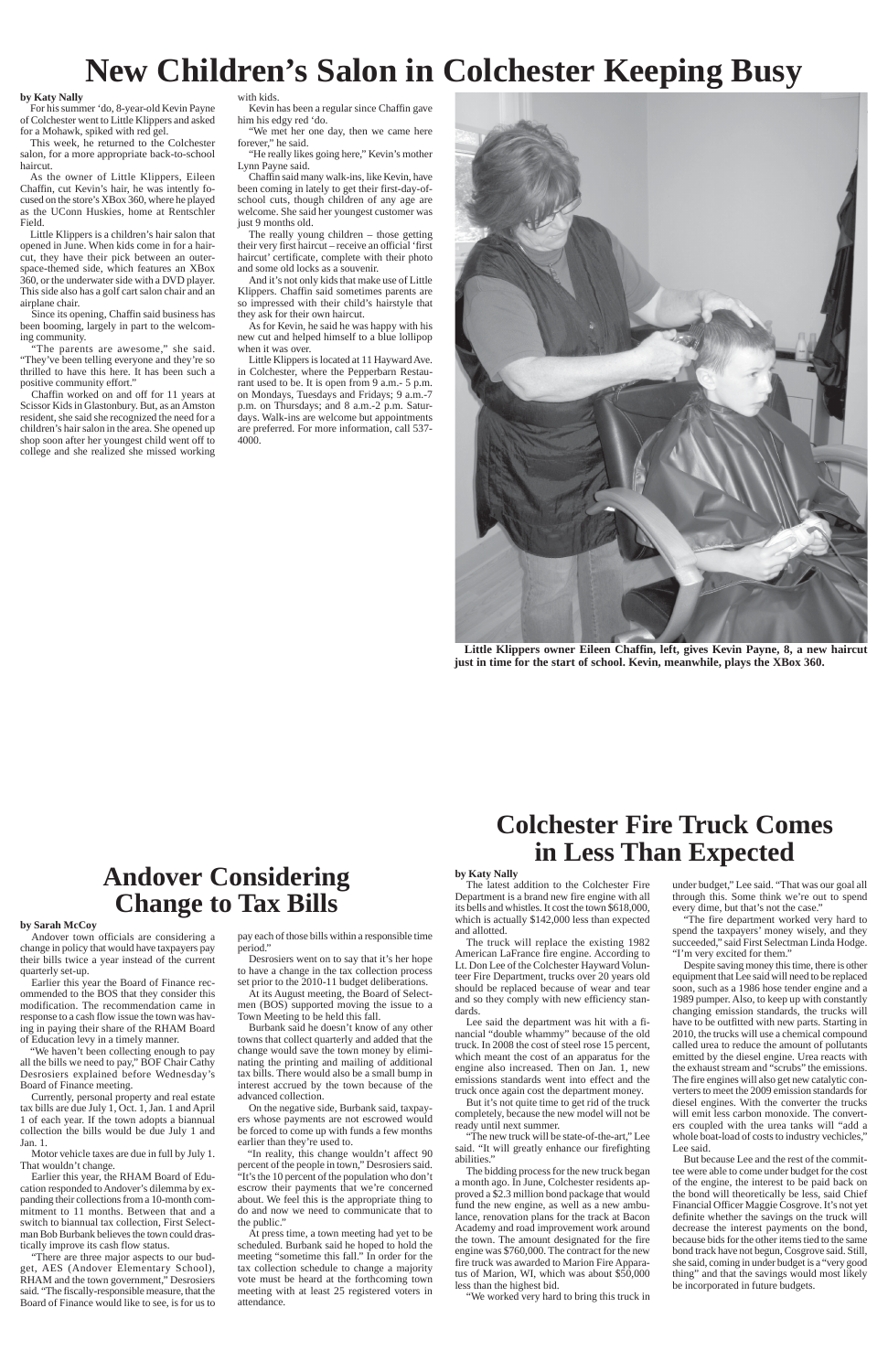### **Colchester Fire Truck Comes in Less Than Expected**

#### **by Katy Nally**

The latest addition to the Colchester Fire Department is a brand new fire engine with all its bells and whistles. It cost the town \$618,000, which is actually \$142,000 less than expected and allotted.

The truck will replace the existing 1982 American LaFrance fire engine. According to Lt. Don Lee of the Colchester Hayward Volunteer Fire Department, trucks over 20 years old should be replaced because of wear and tear and so they comply with new efficiency stan-

dards.

Lee said the department was hit with a financial "double whammy" because of the old truck. In 2008 the cost of steel rose 15 percent, which meant the cost of an apparatus for the engine also increased. Then on Jan. 1, new emissions standards went into effect and the truck once again cost the department money.

But it's not quite time to get rid of the truck completely, because the new model will not be ready until next summer.

"The new truck will be state-of-the-art," Lee said. "It will greatly enhance our firefighting abilities."

The bidding process for the new truck began a month ago. In June, Colchester residents approved a \$2.3 million bond package that would fund the new engine, as well as a new ambulance, renovation plans for the track at Bacon Academy and road improvement work around the town. The amount designated for the fire engine was \$760,000. The contract for the new fire truck was awarded to Marion Fire Apparatus of Marion, WI, which was about \$50,000 less than the highest bid.

"We worked very hard to bring this truck in

under budget," Lee said. "That was our goal all through this. Some think we're out to spend every dime, but that's not the case."

"The fire department worked very hard to spend the taxpayers' money wisely, and they succeeded," said First Selectman Linda Hodge. "I'm very excited for them."

"We met her one day, then we came here forever," he said.

> Despite saving money this time, there is other equipment that Lee said will need to be replaced soon, such as a 1986 hose tender engine and a 1989 pumper. Also, to keep up with constantly changing emission standards, the trucks will have to be outfitted with new parts. Starting in 2010, the trucks will use a chemical compound called urea to reduce the amount of pollutants emitted by the diesel engine. Urea reacts with the exhaust stream and "scrubs" the emissions. The fire engines will also get new catalytic converters to meet the 2009 emission standards for diesel engines. With the converter the trucks will emit less carbon monoxide. The converters coupled with the urea tanks will "add a whole boat-load of costs to industry vechicles," Lee said. But because Lee and the rest of the committee were able to come under budget for the cost of the engine, the interest to be paid back on the bond will theoretically be less, said Chief Financial Officer Maggie Cosgrove. It's not yet definite whether the savings on the truck will decrease the interest payments on the bond, because bids for the other items tied to the same bond track have not begun, Cosgrove said. Still, she said, coming in under budget is a "very good thing" and that the savings would most likely be incorporated in future budgets.

## **New Children's Salon in Colchester Keeping Busy**

#### **by Katy Nally**

For his summer 'do, 8-year-old Kevin Payne of Colchester went to Little Klippers and asked for a Mohawk, spiked with red gel.

This week, he returned to the Colchester salon, for a more appropriate back-to-school haircut.

As the owner of Little Klippers, Eileen Chaffin, cut Kevin's hair, he was intently focused on the store's XBox 360, where he played as the UConn Huskies, home at Rentschler Field.

> At its August meeting, the Board of Selecten (BOS) supported moving the issue to a

Little Klippers is a children's hair salon that opened in June. When kids come in for a haircut, they have their pick between an outerspace-themed side, which features an XBox 360, or the underwater side with a DVD player. This side also has a golf cart salon chair and an airplane chair.

Since its opening, Chaffin said business has been booming, largely in part to the welcoming community.

"The parents are awesome," she said. "They've been telling everyone and they're so thrilled to have this here. It has been such a positive community effort."

Chaffin worked on and off for 11 years at Scissor Kids in Glastonbury. But, as an Amston resident, she said she recognized the need for a children's hair salon in the area. She opened up shop soon after her youngest child went off to college and she realized she missed working with kids.

Kevin has been a regular since Chaffin gave him his edgy red 'do.

"He really likes going here," Kevin's mother Lynn Payne said.

Chaffin said many walk-ins, like Kevin, have been coming in lately to get their first-day-ofschool cuts, though children of any age are welcome. She said her youngest customer was just 9 months old.

The really young children – those getting their very first haircut – receive an official 'first haircut' certificate, complete with their photo and some old locks as a souvenir.

And it's not only kids that make use of Little Klippers. Chaffin said sometimes parents are so impressed with their child's hairstyle that they ask for their own haircut.

As for Kevin, he said he was happy with his new cut and helped himself to a blue lollipop when it was over.

Little Klippers is located at 11 Hayward Ave. in Colchester, where the Pepperbarn Restaurant used to be. It is open from 9 a.m.- 5 p.m. on Mondays, Tuesdays and Fridays; 9 a.m.-7 p.m. on Thursdays; and 8 a.m.-2 p.m. Saturdays. Walk-ins are welcome but appointments are preferred. For more information, call 537- 4000.



**Little Klippers owner Eileen Chaffin, left, gives Kevin Payne, 8, a new haircut just in time for the start of school. Kevin, meanwhile, plays the XBox 360.**

## **Andover Considering Change to Tax Bills**

### **by Sarah McCoy**

Andover town officials are considering a change in policy that would have taxpayers pay their bills twice a year instead of the current quarterly set-up.

Earlier this year the Board of Finance recommended to the BOS that they consider this modification. The recommendation came in

response to a cash flow issue the town was having in paying their share of the RHAM Board of Education levy in a timely manner.

"We haven't been collecting enough to pay all the bills we need to pay," BOF Chair Cathy Desrosiers explained before Wednesday's Board of Finance meeting.

Currently, personal property and real estate tax bills are due July 1, Oct. 1, Jan. 1 and April 1 of each year. If the town adopts a biannual collection the bills would be due July 1 and Jan. 1.

Motor vehicle taxes are due in full by July 1. That wouldn't change.

Earlier this year, the RHAM Board of Education responded to Andover's dilemma by expanding their collections from a 10-month commitment to 11 months. Between that and a switch to biannual tax collection, First Selectman Bob Burbank believes the town could drastically improve its cash flow status.

"There are three major aspects to our budget, AES (Andover Elementary School), RHAM and the town government," Desrosiers said. "The fiscally-responsible measure, that the Board of Finance would like to see, is for us to

pay each of those bills within a responsible time period."

Desrosiers went on to say that it's her hope to have a change in the tax collection process set prior to the 2010-11 budget deliberations.

Town Meeting to be held this fall.

Burbank said he doesn't know of any other towns that collect quarterly and added that the change would save the town money by eliminating the printing and mailing of additional tax bills. There would also be a small bump in interest accrued by the town because of the advanced collection.

On the negative side, Burbank said, taxpayers whose payments are not escrowed would be forced to come up with funds a few months earlier than they're used to.

"In reality, this change wouldn't affect 90 percent of the people in town," Desrosiers said. "It's the 10 percent of the population who don't escrow their payments that we're concerned about. We feel this is the appropriate thing to do and now we need to communicate that to the public."

At press time, a town meeting had yet to be scheduled. Burbank said he hoped to hold the meeting "sometime this fall." In order for the tax collection schedule to change a majority vote must be heard at the forthcoming town meeting with at least 25 registered voters in attendance.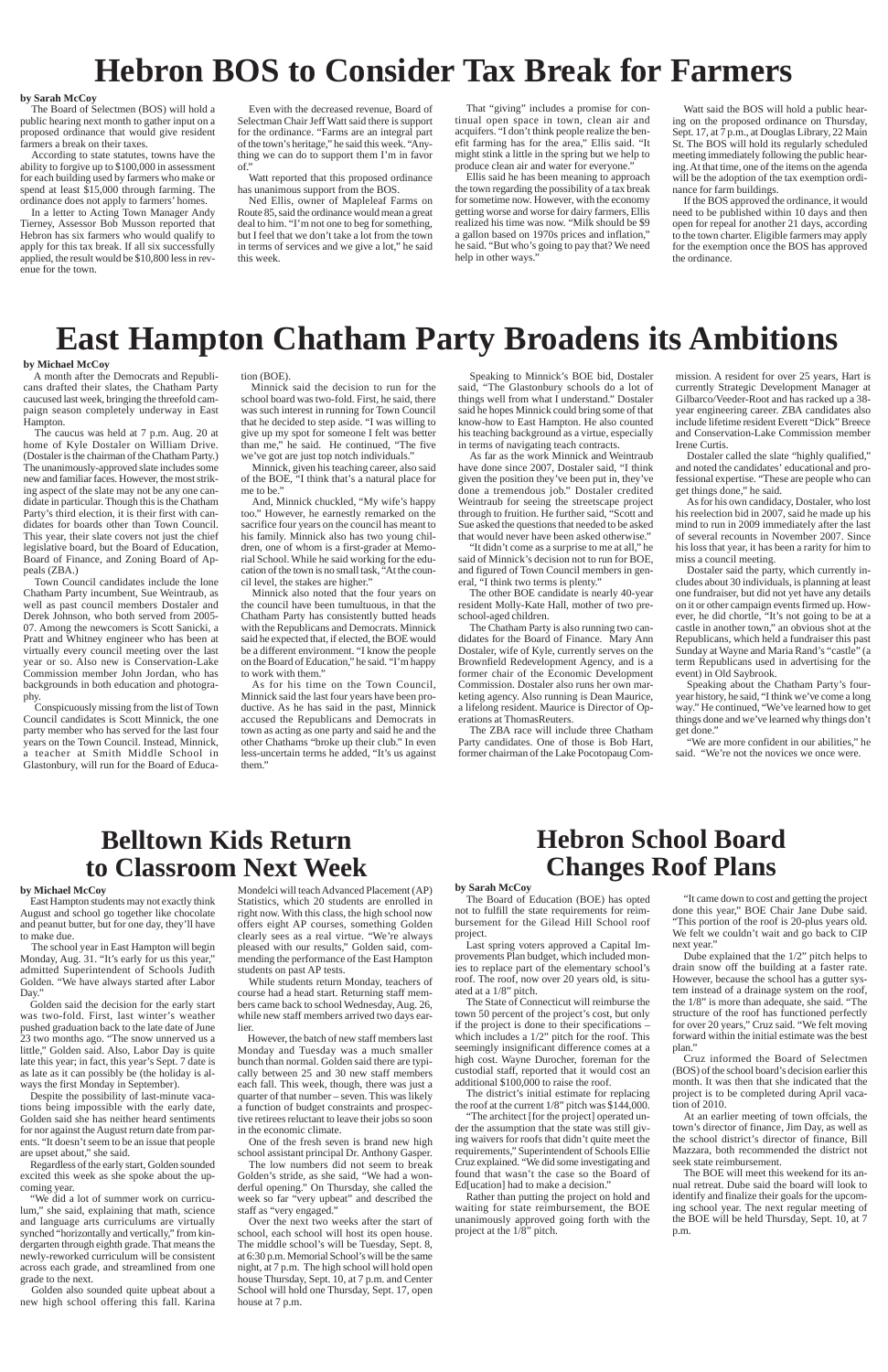### **Hebron School Board Changes Roof Plans**

## **Hebron BOS to Consider Tax Break for Farmers**

### **by Sarah McCoy**

The Board of Selectmen (BOS) will hold a public hearing next month to gather input on a proposed ordinance that would give resident farmers a break on their taxes.

According to state statutes, towns have the ability to forgive up to \$100,000 in assessment for each building used by farmers who make or spend at least \$15,000 through farming. The ordinance does not apply to farmers' homes.

In a letter to Acting Town Manager Andy Tierney, Assessor Bob Musson reported that Hebron has six farmers who would qualify to apply for this tax break. If all six successfully applied, the result would be \$10,800 less in revenue for the town.

Even with the decreased revenue, Board of Selectman Chair Jeff Watt said there is support for the ordinance. "Farms are an integral part of the town's heritage," he said this week. "Anything we can do to support them I'm in favor of."

Watt reported that this proposed ordinance has unanimous support from the BOS.

Ned Ellis, owner of Mapleleaf Farms on Route 85, said the ordinance would mean a great deal to him. "I'm not one to beg for something, but I feel that we don't take a lot from the town in terms of services and we give a lot," he said this week.

#### **by Sarah McCoy**

The Board of Education (BOE) has opted not to fulfill the state requirements for reimbursement for the Gilead Hill School roof project.

Last spring voters approved a Capital Improvements Plan budget, which included monies to replace part of the elementary school's roof. The roof, now over 20 years old, is situated at a 1/8" pitch.

The State of Connecticut will reimburse the town 50 percent of the project's cost, but only if the project is done to their specifications – which includes a 1/2" pitch for the roof. This seemingly insignificant difference comes at a high cost. Wayne Durocher, foreman for the custodial staff, reported that it would cost an additional \$100,000 to raise the roof. The district's initial estimate for replacing the roof at the current 1/8" pitch was \$144,000. "The architect [for the project] operated under the assumption that the state was still giving waivers for roofs that didn't quite meet the requirements," Superintendent of Schools Ellie Cruz explained. "We did some investigating and found that wasn't the case so the Board of Ed[ucation] had to make a decision." Rather than putting the project on hold and waiting for state reimbursement, the BOE unanimously approved going forth with the project at the 1/8" pitch.

"It came down to cost and getting the project done this year," BOE Chair Jane Dube said. "This portion of the roof is 20-plus years old. We felt we couldn't wait and go back to CIP next year."

Dube explained that the 1/2" pitch helps to drain snow off the building at a faster rate. However, because the school has a gutter system instead of a drainage system on the roof, the 1/8" is more than adequate, she said. "The structure of the roof has functioned perfectly for over 20 years," Cruz said. "We felt moving forward within the initial estimate was the best plan."

Cruz informed the Board of Selectmen (BOS) of the school board's decision earlier this month. It was then that she indicated that the project is to be completed during April vacation of 2010.

At an earlier meeting of town offcials, the town's director of finance, Jim Day, as well as the school district's director of finance, Bill Mazzara, both recommended the district not seek state reimbursement.

The BOE will meet this weekend for its annual retreat. Dube said the board will look to identify and finalize their goals for the upcoming school year. The next regular meeting of the BOE will be held Thursday, Sept. 10, at 7 p.m.

That "giving" includes a promise for continual open space in town, clean air and acquifers. "I don't think people realize the benefit farming has for the area," Ellis said. "It might stink a little in the spring but we help to produce clean air and water for everyone."

Ellis said he has been meaning to approach the town regarding the possibility of a tax break for sometime now. However, with the economy getting worse and worse for dairy farmers, Ellis realized his time was now. "Milk should be \$9 a gallon based on 1970s prices and inflation," he said. "But who's going to pay that? We need help in other ways."

Watt said the BOS will hold a public hearing on the proposed ordinance on Thursday, Sept. 17, at 7 p.m., at Douglas Library, 22 Main St. The BOS will hold its regularly scheduled meeting immediately following the public hearing. At that time, one of the items on the agenda will be the adoption of the tax exemption ordinance for farm buildings.

If the BOS approved the ordinance, it would need to be published within 10 days and then open for repeal for another 21 days, according to the town charter. Eligible farmers may apply for the exemption once the BOS has approved the ordinance.

## **East Hampton Chatham Party Broadens its Ambitions**

#### **by Michael McCoy**

A month after the Democrats and Republicans drafted their slates, the Chatham Party caucused last week, bringing the threefold campaign season completely underway in East Hampton.

The caucus was held at 7 p.m. Aug. 20 at home of Kyle Dostaler on William Drive. (Dostaler is the chairman of the Chatham Party.) The unanimously-approved slate includes some new and familiar faces. However, the most striking aspect of the slate may not be any one candidate in particular. Though this is the Chatham Party's third election, it is their first with candidates for boards other than Town Council. This year, their slate covers not just the chief legislative board, but the Board of Education, Board of Finance, and Zoning Board of Appeals (ZBA.)

The school year in East Hampton will begin Monday, Aug. 31. "It's early for us this year," admitted Superintendent of Schools Judith Golden. "We have always started after Labor Day."

Town Council candidates include the lone Chatham Party incumbent, Sue Weintraub, as well as past council members Dostaler and Derek Johnson, who both served from 2005- 07. Among the newcomers is Scott Sanicki, a Pratt and Whitney engineer who has been at virtually every council meeting over the last year or so. Also new is Conservation-Lake Commission member John Jordan, who has backgrounds in both education and photography.

Conspicuously missing from the list of Town Council candidates is Scott Minnick, the one party member who has served for the last four years on the Town Council. Instead, Minnick, a teacher at Smith Middle School in Glastonbury, will run for the Board of Education (BOE).

Minnick said the decision to run for the school board was two-fold. First, he said, there was such interest in running for Town Council that he decided to step aside. "I was willing to give up my spot for someone I felt was better than me," he said. He continued, "The five we've got are just top notch individuals."

Minnick, given his teaching career, also said of the BOE, "I think that's a natural place for me to be."

And, Minnick chuckled, "My wife's happy too." However, he earnestly remarked on the sacrifice four years on the council has meant to his family. Minnick also has two young children, one of whom is a first-grader at Memorial School. While he said working for the education of the town is no small task, "At the council level, the stakes are higher."

Minnick also noted that the four years on the council have been tumultuous, in that the Chatham Party has consistently butted heads with the Republicans and Democrats. Minnick said he expected that, if elected, the BOE would be a different environment. "I know the people on the Board of Education," he said. "I'm happy to work with them."

As for his time on the Town Council, Minnick said the last four years have been productive. As he has said in the past, Minnick accused the Republicans and Democrats in town as acting as one party and said he and the other Chathams "broke up their club." In even less-uncertain terms he added, "It's us against them."

Speaking to Minnick's BOE bid, Dostaler said, "The Glastonbury schools do a lot of things well from what I understand." Dostaler said he hopes Minnick could bring some of that know-how to East Hampton. He also counted his teaching background as a virtue, especially in terms of navigating teach contracts.

As far as the work Minnick and Weintraub have done since 2007, Dostaler said, "I think given the position they've been put in, they've done a tremendous job." Dostaler credited Weintraub for seeing the streetscape project through to fruition. He further said, "Scott and Sue asked the questions that needed to be asked that would never have been asked otherwise."

"It didn't come as a surprise to me at all," he said of Minnick's decision not to run for BOE, and figured of Town Council members in general, "I think two terms is plenty."

The other BOE candidate is nearly 40-year resident Molly-Kate Hall, mother of two preschool-aged children.

The Chatham Party is also running two candidates for the Board of Finance. Mary Ann Dostaler, wife of Kyle, currently serves on the Brownfield Redevelopment Agency, and is a former chair of the Economic Development Commission. Dostaler also runs her own marketing agency. Also running is Dean Maurice, a lifelong resident. Maurice is Director of Operations at ThomasReuters.

The ZBA race will include three Chatham Party candidates. One of those is Bob Hart, former chairman of the Lake Pocotopaug Commission. A resident for over 25 years, Hart is currently Strategic Development Manager at Gilbarco/Veeder-Root and has racked up a 38 year engineering career. ZBA candidates also include lifetime resident Everett "Dick" Breece and Conservation-Lake Commission member Irene Curtis.

Dostaler called the slate "highly qualified," and noted the candidates' educational and professional expertise. "These are people who can get things done," he said.

As for his own candidacy, Dostaler, who lost his reelection bid in 2007, said he made up his mind to run in 2009 immediately after the last of several recounts in November 2007. Since his loss that year, it has been a rarity for him to miss a council meeting.

Dostaler said the party, which currently includes about 30 individuals, is planning at least one fundraiser, but did not yet have any details on it or other campaign events firmed up. However, he did chortle, "It's not going to be at a castle in another town," an obvious shot at the Republicans, which held a fundraiser this past Sunday at Wayne and Maria Rand's "castle" (a term Republicans used in advertising for the event) in Old Saybrook.

Speaking about the Chatham Party's fouryear history, he said, "I think we've come a long way." He continued, "We've learned how to get things done and we've learned why things don't get done."

"We are more confident in our abilities," he said. "We're not the novices we once were.

### **Belltown Kids Return to Classroom Next Week**

### **by Michael McCoy**

East Hampton students may not exactly think August and school go together like chocolate and peanut butter, but for one day, they'll have to make due.

Golden said the decision for the early start

was two-fold. First, last winter's weather pushed graduation back to the late date of June 23 two months ago. "The snow unnerved us a little," Golden said. Also, Labor Day is quite late this year; in fact, this year's Sept. 7 date is as late as it can possibly be (the holiday is always the first Monday in September).

Despite the possibility of last-minute vacations being impossible with the early date, Golden said she has neither heard sentiments for nor against the August return date from parents. "It doesn't seem to be an issue that people are upset about," she said.

Regardless of the early start, Golden sounded excited this week as she spoke about the upcoming year.

"We did a lot of summer work on curriculum," she said, explaining that math, science and language arts curriculums are virtually synched "horizontally and vertically," from kindergarten through eighth grade. That means the newly-reworked curriculum will be consistent across each grade, and streamlined from one grade to the next.

Golden also sounded quite upbeat about a new high school offering this fall. Karina Mondelci will teach Advanced Placement (AP) Statistics, which 20 students are enrolled in right now. With this class, the high school now offers eight AP courses, something Golden clearly sees as a real virtue. "We're always pleased with our results," Golden said, commending the performance of the East Hampton students on past AP tests.

While students return Monday, teachers of course had a head start. Returning staff members came back to school Wednesday, Aug. 26, while new staff members arrived two days earlier.

However, the batch of new staff members last Monday and Tuesday was a much smaller bunch than normal. Golden said there are typically between 25 and 30 new staff members each fall. This week, though, there was just a quarter of that number – seven. This was likely a function of budget constraints and prospective retirees reluctant to leave their jobs so soon in the economic climate.

One of the fresh seven is brand new high school assistant principal Dr. Anthony Gasper.

The low numbers did not seem to break Golden's stride, as she said, "We had a wonderful opening." On Thursday, she called the week so far "very upbeat" and described the staff as "very engaged."

Over the next two weeks after the start of school, each school will host its open house. The middle school's will be Tuesday, Sept. 8, at 6:30 p.m. Memorial School's will be the same night, at 7 p.m. The high school will hold open house Thursday, Sept. 10, at 7 p.m. and Center School will hold one Thursday, Sept. 17, open house at 7 p.m.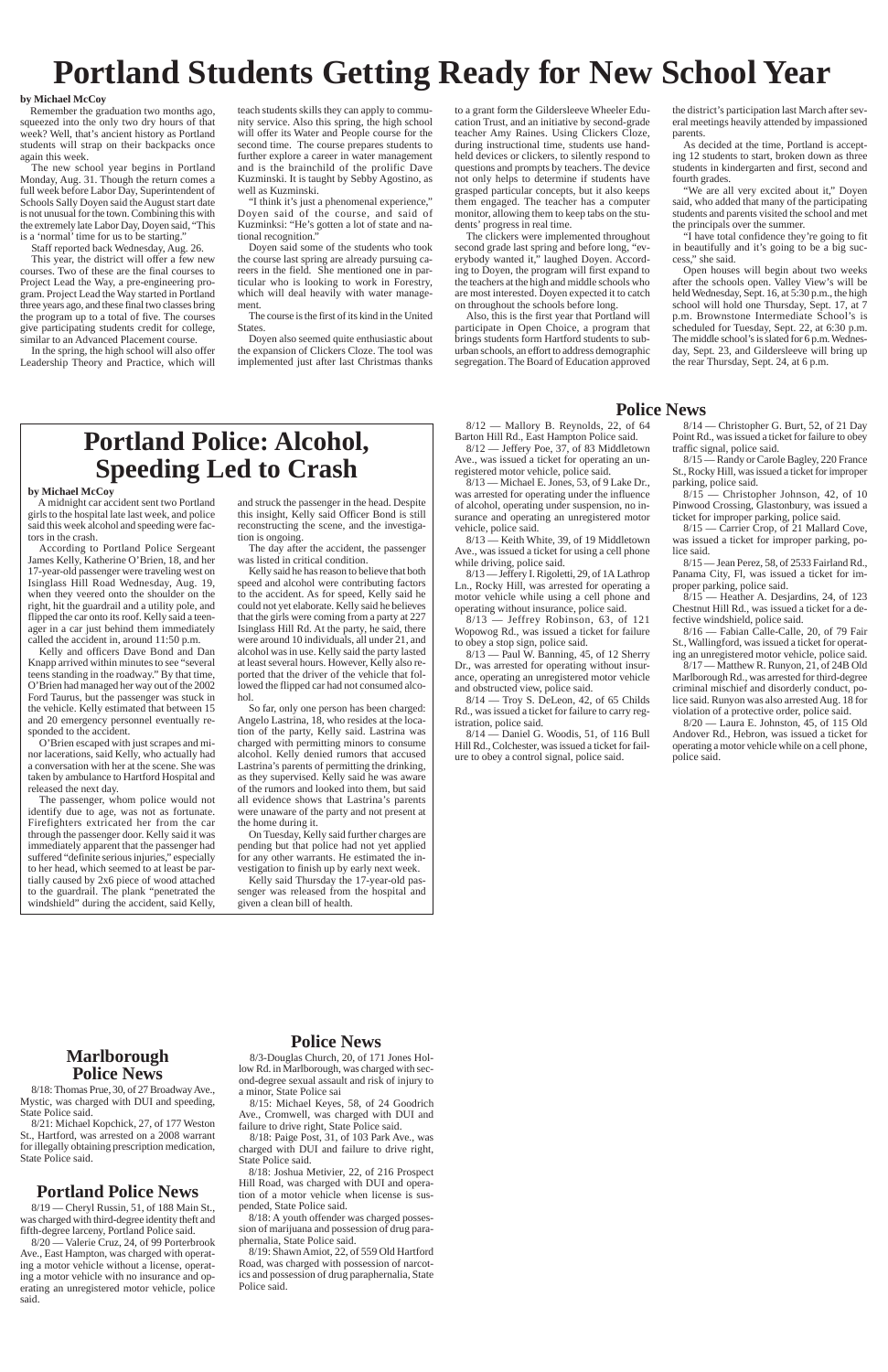## **Portland Students Getting Ready for New School Year**

#### **by Michael McCoy**

Remember the graduation two months ago, squeezed into the only two dry hours of that week? Well, that's ancient history as Portland students will strap on their backpacks once again this week.

The new school year begins in Portland Monday, Aug. 31. Though the return comes a full week before Labor Day, Superintendent of Schools Sally Doyen said the August start date is not unusual for the town. Combining this with the extremely late Labor Day, Doyen said, "This is a 'normal' time for us to be starting."

Staff reported back Wednesday, Aug. 26.

"I think it's just a phenomenal experience," Doyen said of the course, and said of Kuzminksi: "He's gotten a lot of state and national recognition.'

This year, the district will offer a few new courses. Two of these are the final courses to Project Lead the Way, a pre-engineering program. Project Lead the Way started in Portland three years ago, and these final two classes bring the program up to a total of five. The courses give participating students credit for college, similar to an Advanced Placement course.

In the spring, the high school will also offer Leadership Theory and Practice, which will teach students skills they can apply to community service. Also this spring, the high school will offer its Water and People course for the second time. The course prepares students to further explore a career in water management and is the brainchild of the prolific Dave Kuzminski. It is taught by Sebby Agostino, as well as Kuzminski.

Doyen said some of the students who took the course last spring are already pursuing careers in the field. She mentioned one in particular who is looking to work in Forestry, which will deal heavily with water management.

The course is the first of its kind in the United States.

Doyen also seemed quite enthusiastic about the expansion of Clickers Cloze. The tool was implemented just after last Christmas thanks

### **Marlborough Police News**

8/18: Thomas Prue, 30, of 27 Broadway Ave., Mystic, was charged with DUI and speeding, State Police said.

8/21: Michael Kopchick, 27, of 177 Weston St., Hartford, was arrested on a 2008 warrant for illegally obtaining prescription medication, State Police said.

## **Portland Police: Alcohol, Speeding Led to Crash**

### **by Michael McCoy**

A midnight car accident sent two Portland girls to the hospital late last week, and police said this week alcohol and speeding were factors in the crash.

According to Portland Police Sergeant James Kelly, Katherine O'Brien, 18, and her 17-year-old passenger were traveling west on Isinglass Hill Road Wednesday, Aug. 19, when they veered onto the shoulder on the right, hit the guardrail and a utility pole, and flipped the car onto its roof. Kelly said a teenager in a car just behind them immediately called the accident in, around 11:50 p.m.

Kelly and officers Dave Bond and Dan Knapp arrived within minutes to see "several teens standing in the roadway." By that time, O'Brien had managed her way out of the 2002 Ford Taurus, but the passenger was stuck in the vehicle. Kelly estimated that between 15 and 20 emergency personnel eventually responded to the accident.

the district's participation last March after several meetings heavily attended by impassioned parents

O'Brien escaped with just scrapes and minor lacerations, said Kelly, who actually had a conversation with her at the scene. She was taken by ambulance to Hartford Hospital and released the next day.

The passenger, whom police would not identify due to age, was not as fortunate. Firefighters extricated her from the car through the passenger door. Kelly said it was immediately apparent that the passenger had suffered "definite serious injuries," especially to her head, which seemed to at least be partially caused by 2x6 piece of wood attached to the guardrail. The plank "penetrated the windshield" during the accident, said Kelly, and struck the passenger in the head. Despite this insight, Kelly said Officer Bond is still reconstructing the scene, and the investigation is ongoing.

The day after the accident, the passenger was listed in critical condition.

### $8/12$  — Mallory B. Reynolds, 22, of 64 Barton Hill Rd., East Hampton Police said.

Kelly said he has reason to believe that both speed and alcohol were contributing factors to the accident. As for speed, Kelly said he could not yet elaborate. Kelly said he believes that the girls were coming from a party at 227 Isinglass Hill Rd. At the party, he said, there were around 10 individuals, all under 21, and alcohol was in use. Kelly said the party lasted at least several hours. However, Kelly also reported that the driver of the vehicle that followed the flipped car had not consumed alcohol.

8/13 — Michael E. Jones, 53, of 9 Lake Dr., was arrested for operating under the influence of alcohol, operating under suspension, no insurance and operating an unregistered motor vehicle, police said.

 $8/14$  — Troy S. DeLeon, 42, of 65 Childs Rd., was issued a ticket for failure to carry registration, police said.

So far, only one person has been charged: Angelo Lastrina, 18, who resides at the location of the party, Kelly said. Lastrina was charged with permitting minors to consume alcohol. Kelly denied rumors that accused Lastrina's parents of permitting the drinking, as they supervised. Kelly said he was aware of the rumors and looked into them, but said all evidence shows that Lastrina's parents were unaware of the party and not present at the home during it.

 $8/15$  — Christopher Johnson, 42, of 10 Pinwood Crossing, Glastonbury, was issued a ticket for improper parking, police said.

On Tuesday, Kelly said further charges are pending but that police had not yet applied for any other warrants. He estimated the investigation to finish up by early next week.

Kelly said Thursday the 17-year-old passenger was released from the hospital and given a clean bill of health.

to a grant form the Gildersleeve Wheeler Education Trust, and an initiative by second-grade teacher Amy Raines. Using Clickers Cloze, during instructional time, students use handheld devices or clickers, to silently respond to questions and prompts by teachers. The device not only helps to determine if students have grasped particular concepts, but it also keeps them engaged. The teacher has a computer monitor, allowing them to keep tabs on the students' progress in real time.

The clickers were implemented throughout second grade last spring and before long, "everybody wanted it," laughed Doyen. According to Doyen, the program will first expand to the teachers at the high and middle schools who are most interested. Doyen expected it to catch on throughout the schools before long.

Also, this is the first year that Portland will participate in Open Choice, a program that brings students form Hartford students to suburban schools, an effort to address demographic segregation. The Board of Education approved

As decided at the time, Portland is accepting 12 students to start, broken down as three students in kindergarten and first, second and fourth grades.

"We are all very excited about it," Doyen said, who added that many of the participating students and parents visited the school and met the principals over the summer.

"I have total confidence they're going to fit in beautifully and it's going to be a big success," she said.

Open houses will begin about two weeks after the schools open. Valley View's will be held Wednesday, Sept. 16, at 5:30 p.m., the high school will hold one Thursday, Sept. 17, at 7 p.m. Brownstone Intermediate School's is scheduled for Tuesday, Sept. 22, at 6:30 p.m. The middle school's is slated for 6 p.m. Wednesday, Sept. 23, and Gildersleeve will bring up the rear Thursday, Sept. 24, at 6 p.m.

### **Police News**

8/3-Douglas Church, 20, of 171 Jones Hollow Rd. in Marlborough, was charged with second-degree sexual assault and risk of injury to a minor, State Police sai

8/15: Michael Keyes, 58, of 24 Goodrich Ave., Cromwell, was charged with DUI and failure to drive right, State Police said.

8/18: Paige Post, 31, of 103 Park Ave., was charged with DUI and failure to drive right, State Police said.

8/18: Joshua Metivier, 22, of 216 Prospect Hill Road, was charged with DUI and operation of a motor vehicle when license is suspended, State Police said.

8/18: A youth offender was charged possession of marijuana and possession of drug paraphernalia, State Police said.

8/19: Shawn Amiot, 22, of 559 Old Hartford Road, was charged with possession of narcotics and possession of drug paraphernalia, State Police said.

### **Portland Police News**

8/19 — Cheryl Russin, 51, of 188 Main St., was charged with third-degree identity theft and fifth-degree larceny, Portland Police said.

8/20 — Valerie Cruz, 24, of 99 Porterbrook Ave., East Hampton, was charged with operating a motor vehicle without a license, operating a motor vehicle with no insurance and operating an unregistered motor vehicle, police said.

### **Police News**

8/12 — Jeffery Poe, 37, of 83 Middletown Ave., was issued a ticket for operating an unregistered motor vehicle, police said.

8/13 — Keith White, 39, of 19 Middletown Ave., was issued a ticket for using a cell phone while driving, police said.

8/13 — Jeffery I. Rigoletti, 29, of 1A Lathrop Ln., Rocky Hill, was arrested for operating a motor vehicle while using a cell phone and operating without insurance, police said.

8/13 — Jeffrey Robinson, 63, of 121 Wopowog Rd., was issued a ticket for failure to obey a stop sign, police said.

8/13 — Paul W. Banning, 45, of 12 Sherry Dr., was arrested for operating without insurance, operating an unregistered motor vehicle and obstructed view, police said.

8/14 — Daniel G. Woodis, 51, of 116 Bull Hill Rd., Colchester, was issued a ticket for failure to obey a control signal, police said.

8/14 — Christopher G. Burt, 52, of 21 Day Point Rd., was issued a ticket for failure to obey traffic signal, police said.

8/15 — Randy or Carole Bagley, 220 France St., Rocky Hill, was issued a ticket for improper parking, police said.

8/15 — Carrier Crop, of 21 Mallard Cove, was issued a ticket for improper parking, police said.

8/15 — Jean Perez, 58, of 2533 Fairland Rd., Panama City, Fl, was issued a ticket for improper parking, police said.

8/15 — Heather A. Desjardins, 24, of 123 Chestnut Hill Rd., was issued a ticket for a defective windshield, police said.

8/16 — Fabian Calle-Calle, 20, of 79 Fair St., Wallingford, was issued a ticket for operating an unregistered motor vehicle, police said.

8/17 — Matthew R. Runyon, 21, of 24B Old Marlborough Rd., was arrested for third-degree criminal mischief and disorderly conduct, police said. Runyon was also arrested Aug. 18 for violation of a protective order, police said.

8/20 — Laura E. Johnston, 45, of 115 Old Andover Rd., Hebron, was issued a ticket for operating a motor vehicle while on a cell phone, police said.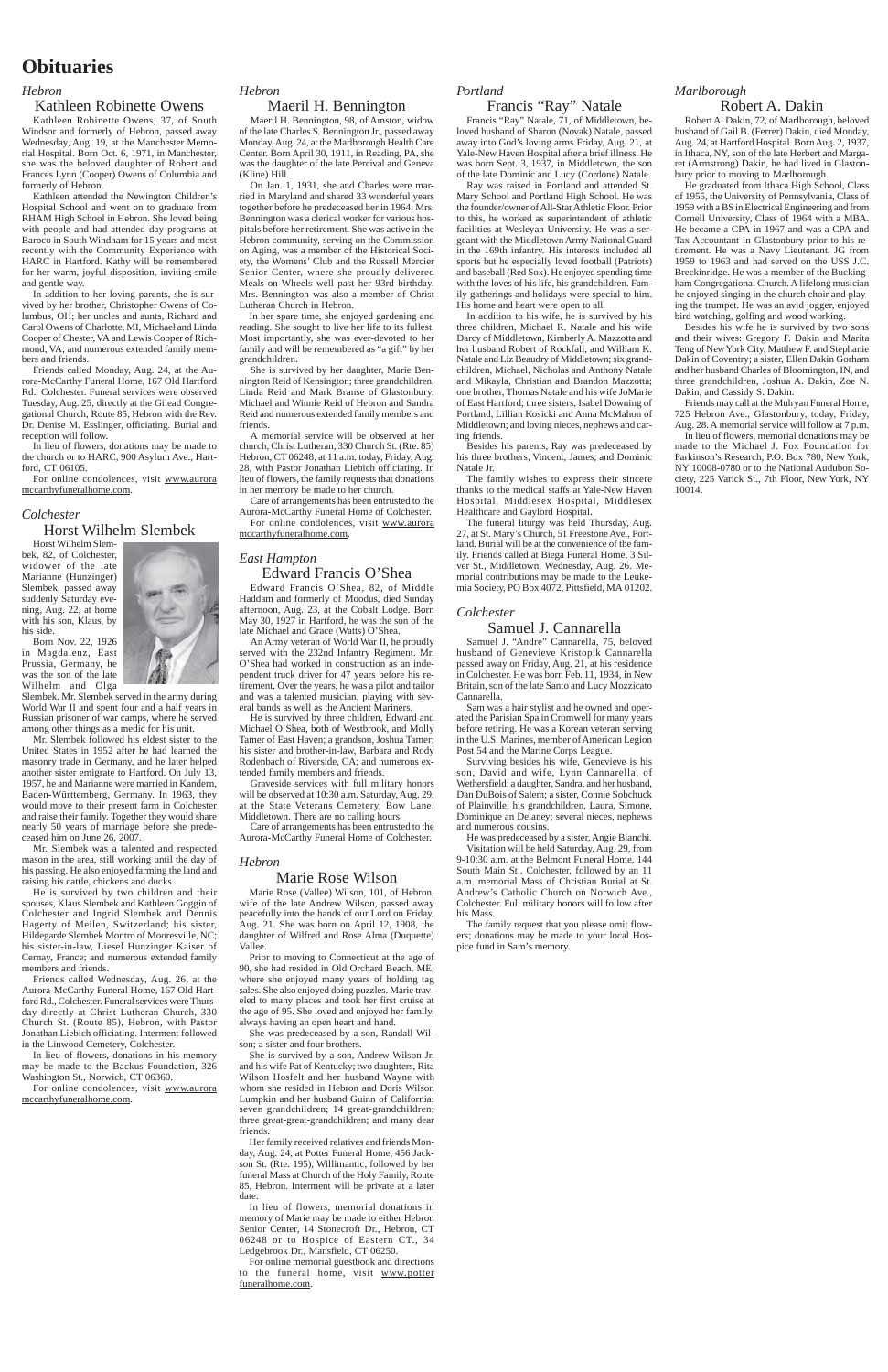### **Obituaries**

### *Hebron*

### Kathleen Robinette Owens

Kathleen Robinette Owens, 37, of South Windsor and formerly of Hebron, passed away Wednesday, Aug. 19, at the Manchester Memorial Hospital. Born Oct. 6, 1971, in Manchester, she was the beloved daughter of Robert and Frances Lynn (Cooper) Owens of Columbia and formerly of Hebron.

Kathleen attended the Newington Children's Hospital School and went on to graduate from RHAM High School in Hebron. She loved being with people and had attended day programs at Baroco in South Windham for 15 years and most recently with the Community Experience with HARC in Hartford. Kathy will be remembered for her warm, joyful disposition, inviting smile and gentle way.

In addition to her loving parents, she is survived by her brother, Christopher Owens of Columbus, OH; her uncles and aunts, Richard and Carol Owens of Charlotte, MI, Michael and Linda Cooper of Chester, VA and Lewis Cooper of Richmond, VA; and numerous extended family members and friends.

among other things as a medic for his unit. Mr. Slembek followed his eldest sister to the United States in 1952 after he had learned the masonry trade in Germany, and he later helped another sister emigrate to Hartford. On July 13, 1957, he and Marianne were married in Kandern, Baden-Württemberg, Germany. In 1963, they would move to their present farm in Colchester and raise their family. Together they would share nearly 50 years of marriage before she predeceased him on June 26, 2007.

Friends called Monday, Aug. 24, at the Aurora-McCarthy Funeral Home, 167 Old Hartford Rd., Colchester. Funeral services were observed Tuesday, Aug. 25, directly at the Gilead Congregational Church, Route 85, Hebron with the Rev. Dr. Denise M. Esslinger, officiating. Burial and reception will follow.

In lieu of flowers, donations may be made to the church or to HARC, 900 Asylum Ave., Hartford, CT 06105.

For online condolences, visit www.aurora mccarthyfuneralhome.com.

### *Colchester*

### Horst Wilhelm Slembek

Horst Wilhelm Slembek, 82, of Colchester, widower of the late Marianne (Hunzinger) Slembek, passed away suddenly Saturday evening, Aug. 22, at home with his son, Klaus, by his side. Born Nov. 22, 1926

in Magdalenz, East Prussia, Germany, he

was the son of the late Wilhelm and Olga Slembek. Mr. Slembek served in the army during World War II and spent four and a half years in Russian prisoner of war camps, where he served

Mr. Slembek was a talented and respected mason in the area, still working until the day of his passing. He also enjoyed farming the land and raising his cattle, chickens and ducks.

He is survived by two children and their spouses, Klaus Slembek and Kathleen Goggin of Colchester and Ingrid Slembek and Dennis Hagerty of Meilen, Switzerland; his sister, Hildegarde Slembek Montro of Mooresville, NC; his sister-in-law, Liesel Hunzinger Kaiser of Cernay, France; and numerous extended family members and friends.

Friends called Wednesday, Aug. 26, at the Aurora-McCarthy Funeral Home, 167 Old Hartford Rd., Colchester. Funeral services were Thursday directly at Christ Lutheran Church, 330 Church St. (Route 85), Hebron, with Pastor Jonathan Liebich officiating. Interment followed in the Linwood Cemetery, Colchester.

In lieu of flowers, donations in his memory may be made to the Backus Foundation, 326 Washington St., Norwich, CT 06360.

For online condolences, visit www.aurora mccarthyfuneralhome.com.

### *Hebron*

### Maeril H. Bennington

Maeril H. Bennington, 98, of Amston, widow of the late Charles S. Bennington Jr., passed away Monday, Aug. 24, at the Marlborough Health Care Center. Born April 30, 1911, in Reading, PA, she was the daughter of the late Percival and Geneva (Kline) Hill.

On Jan. 1, 1931, she and Charles were married in Maryland and shared 33 wonderful years together before he predeceased her in 1964. Mrs. Bennington was a clerical worker for various hospitals before her retirement. She was active in the Hebron community, serving on the Commission on Aging, was a member of the Historical Society, the Womens' Club and the Russell Mercier Senior Center, where she proudly delivered Meals-on-Wheels well past her 93rd birthday. Mrs. Bennington was also a member of Christ Lutheran Church in Hebron.

In her spare time, she enjoyed gardening and reading. She sought to live her life to its fullest. Most importantly, she was ever-devoted to her family and will be remembered as "a gift" by her grandchildren.

She is survived by her daughter, Marie Bennington Reid of Kensington; three grandchildren, Linda Reid and Mark Branse of Glastonbury, Michael and Winnie Reid of Hebron and Sandra Reid and numerous extended family members and friends.

A memorial service will be observed at her church, Christ Lutheran, 330 Church St. (Rte. 85) Hebron, CT 06248, at 11 a.m. today, Friday, Aug. 28, with Pastor Jonathan Liebich officiating. In lieu of flowers, the family requests that donations in her memory be made to her church.

Care of arrangements has been entrusted to the Aurora-McCarthy Funeral Home of Colchester. For online condolences, visit www.aurora mccarthyfuneralhome.com.

### *East Hampton* Edward Francis O'Shea

Edward Francis O'Shea, 82, of Middle Haddam and formerly of Moodus, died Sunday afternoon, Aug. 23, at the Cobalt Lodge. Born May 30, 1927 in Hartford, he was the son of the late Michael and Grace (Watts) O'Shea.

An Army veteran of World War II, he proudly served with the 232nd Infantry Regiment. Mr. O'Shea had worked in construction as an independent truck driver for 47 years before his retirement. Over the years, he was a pilot and tailor and was a talented musician, playing with several bands as well as the Ancient Mariners.

He is survived by three children, Edward and Michael O'Shea, both of Westbrook, and Molly Tamer of East Haven; a grandson, Joshua Tamer; his sister and brother-in-law, Barbara and Rody Rodenbach of Riverside, CA; and numerous extended family members and friends.

Graveside services with full military honors will be observed at 10:30 a.m. Saturday, Aug. 29, at the State Veterans Cemetery, Bow Lane, Middletown. There are no calling hours.

Care of arrangements has been entrusted to the Aurora-McCarthy Funeral Home of Colchester.

### *Hebron*

### Marie Rose Wilson

Marie Rose (Vallee) Wilson, 101, of Hebron, wife of the late Andrew Wilson, passed away peacefully into the hands of our Lord on Friday, Aug. 21. She was born on April 12, 1908, the daughter of Wilfred and Rose Alma (Duquette) Vallee.

Prior to moving to Connecticut at the age of 90, she had resided in Old Orchard Beach, ME, where she enjoyed many years of holding tag sales. She also enjoyed doing puzzles. Marie traveled to many places and took her first cruise at

the age of 95. She loved and enjoyed her family, always having an open heart and hand.

She was predeceased by a son, Randall Wilson; a sister and four brothers.

She is survived by a son, Andrew Wilson Jr. and his wife Pat of Kentucky; two daughters, Rita Wilson Hosfelt and her husband Wayne with whom she resided in Hebron and Doris Wilson Lumpkin and her husband Guinn of California; seven grandchildren; 14 great-grandchildren; three great-great-grandchildren; and many dear friends.

Her family received relatives and friends Monday, Aug. 24, at Potter Funeral Home, 456 Jackson St. (Rte. 195), Willimantic, followed by her funeral Mass at Church of the Holy Family, Route 85, Hebron. Interment will be private at a later date.

In lieu of flowers, memorial donations in memory of Marie may be made to either Hebron Senior Center, 14 Stonecroft Dr., Hebron, CT 06248 or to Hospice of Eastern CT., 34 Ledgebrook Dr., Mansfield, CT 06250.

For online memorial guestbook and directions to the funeral home, visit www.potter funeralhome.com.

### *Portland*

### Francis "Ray" Natale

Francis "Ray" Natale, 71, of Middletown, beloved husband of Sharon (Novak) Natale, passed away into God's loving arms Friday, Aug. 21, at Yale-New Haven Hospital after a brief illness. He was born Sept. 3, 1937, in Middletown, the son of the late Dominic and Lucy (Cordone) Natale.

Ray was raised in Portland and attended St. Mary School and Portland High School. He was the founder/owner of All-Star Athletic Floor. Prior to this, he worked as superintendent of athletic facilities at Wesleyan University. He was a sergeant with the Middletown Army National Guard in the 169th infantry. His interests included all sports but he especially loved football (Patriots) and baseball (Red Sox). He enjoyed spending time with the loves of his life, his grandchildren. Family gatherings and holidays were special to him. His home and heart were open to all.

In addition to his wife, he is survived by his three children, Michael R. Natale and his wife Darcy of Middletown, Kimberly A. Mazzotta and her husband Robert of Rockfall, and William K. Natale and Liz Beaudry of Middletown; six grandchildren, Michael, Nicholas and Anthony Natale and Mikayla, Christian and Brandon Mazzotta; one brother, Thomas Natale and his wife JoMarie of East Hartford; three sisters, Isabel Downing of Portland, Lillian Kosicki and Anna McMahon of Middletown; and loving nieces, nephews and caring friends.

Besides his parents, Ray was predeceased by his three brothers, Vincent, James, and Dominic Natale Jr.

The family wishes to express their sincere thanks to the medical staffs at Yale-New Haven Hospital, Middlesex Hospital, Middlesex Healthcare and Gaylord Hospital.

The funeral liturgy was held Thursday, Aug. 27, at St. Mary's Church, 51 Freestone Ave., Portland. Burial will be at the convenience of the family. Friends called at Biega Funeral Home, 3 Silver St., Middletown, Wednesday, Aug. 26. Memorial contributions may be made to the Leukemia Society, PO Box 4072, Pittsfield, MA 01202.

### *Colchester*

### Samuel J. Cannarella

Samuel J. "Andre" Cannarella, 75, beloved husband of Genevieve Kristopik Cannarella passed away on Friday, Aug. 21, at his residence in Colchester. He was born Feb. 11, 1934, in New Britain, son of the late Santo and Lucy Mozzicato Cannarella.

Sam was a hair stylist and he owned and operated the Parisian Spa in Cromwell for many years before retiring. He was a Korean veteran serving in the U.S. Marines, member of American Legion Post 54 and the Marine Corps League.

Surviving besides his wife, Genevieve is his son, David and wife, Lynn Cannarella, of Wethersfield; a daughter, Sandra, and her husband, Dan DuBois of Salem; a sister, Connie Sobchuck of Plainville; his grandchildren, Laura, Simone, Dominique an Delaney; several nieces, nephews and numerous cousins.

He was predeceased by a sister, Angie Bianchi.

Visitation will be held Saturday, Aug. 29, from 9-10:30 a.m. at the Belmont Funeral Home, 144 South Main St., Colchester, followed by an 11 a.m. memorial Mass of Christian Burial at St. Andrew's Catholic Church on Norwich Ave., Colchester. Full military honors will follow after his Mass.

The family request that you please omit flowers; donations may be made to your local Hospice fund in Sam's memory.

### *Marlborough*

### Robert A. Dakin

Robert A. Dakin, 72, of Marlborough, beloved husband of Gail B. (Ferrer) Dakin, died Monday, Aug. 24, at Hartford Hospital. Born Aug. 2, 1937, in Ithaca, NY, son of the late Herbert and Margaret (Armstrong) Dakin, he had lived in Glaston-

bury prior to moving to Marlborough. He graduated from Ithaca High School, Class

of 1955, the University of Pennsylvania, Class of 1959 with a BS in Electrical Engineering and from Cornell University, Class of 1964 with a MBA. He became a CPA in 1967 and was a CPA and Tax Accountant in Glastonbury prior to his retirement. He was a Navy Lieutenant, JG from 1959 to 1963 and had served on the USS J.C. Breckinridge. He was a member of the Buckingham Congregational Church. A lifelong musician he enjoyed singing in the church choir and playing the trumpet. He was an avid jogger, enjoyed bird watching, golfing and wood working.

Besides his wife he is survived by two sons and their wives: Gregory F. Dakin and Marita Teng of New York City, Matthew F. and Stephanie Dakin of Coventry; a sister, Ellen Dakin Gorham and her husband Charles of Bloomington, IN, and three grandchildren, Joshua A. Dakin, Zoe N. Dakin, and Cassidy S. Dakin.

Friends may call at the Mulryan Funeral Home, 725 Hebron Ave., Glastonbury, today, Friday, Aug. 28. A memorial service will follow at 7 p.m.

In lieu of flowers, memorial donations may be made to the Michael J. Fox Foundation for Parkinson's Research, P.O. Box 780, New York, NY 10008-0780 or to the National Audubon Society, 225 Varick St., 7th Floor, New York, NY 10014.